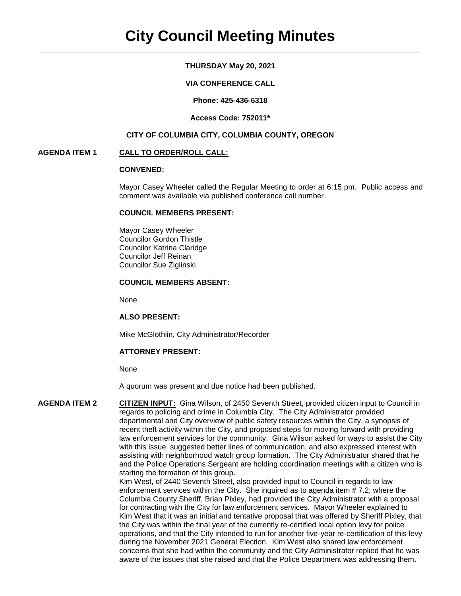# **THURSDAY May 20, 2021**

# **VIA CONFERENCE CALL**

**Phone: 425-436-6318**

#### **Access Code: 752011\***

### **CITY OF COLUMBIA CITY, COLUMBIA COUNTY, OREGON**

### **AGENDA ITEM 1 CALL TO ORDER/ROLL CALL:**

# **CONVENED:**

Mayor Casey Wheeler called the Regular Meeting to order at 6:15 pm. Public access and comment was available via published conference call number.

#### **COUNCIL MEMBERS PRESENT:**

Mayor Casey Wheeler Councilor Gordon Thistle Councilor Katrina Claridge Councilor Jeff Reinan Councilor Sue Ziglinski

#### **COUNCIL MEMBERS ABSENT:**

None

#### **ALSO PRESENT:**

Mike McGlothlin, City Administrator/Recorder

#### **ATTORNEY PRESENT:**

None

A quorum was present and due notice had been published.

**AGENDA ITEM 2 CITIZEN INPUT:** Gina Wilson, of 2450 Seventh Street, provided citizen input to Council in regards to policing and crime in Columbia City. The City Administrator provided departmental and City overview of public safety resources within the City, a synopsis of recent theft activity within the City, and proposed steps for moving forward with providing law enforcement services for the community. Gina Wilson asked for ways to assist the City with this issue, suggested better lines of communication, and also expressed interest with assisting with neighborhood watch group formation. The City Administrator shared that he and the Police Operations Sergeant are holding coordination meetings with a citizen who is starting the formation of this group. Kim West, of 2440 Seventh Street, also provided input to Council in regards to law enforcement services within the City. She inquired as to agenda item # 7.2; where the

Columbia County Sheriff, Brian Pixley, had provided the City Administrator with a proposal for contracting with the City for law enforcement services. Mayor Wheeler explained to Kim West that it was an initial and tentative proposal that was offered by Sheriff Pixley, that the City was within the final year of the currently re-certified local option levy for police operations, and that the City intended to run for another five-year re-certification of this levy during the November 2021 General Election. Kim West also shared law enforcement concerns that she had within the community and the City Administrator replied that he was aware of the issues that she raised and that the Police Department was addressing them.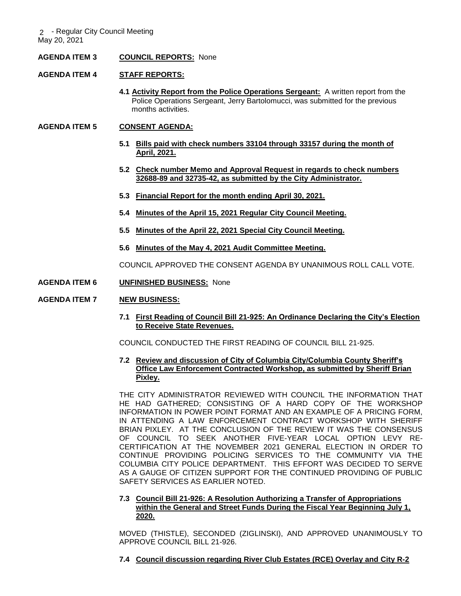### **AGENDA ITEM 3 COUNCIL REPORTS:** None

#### **AGENDA ITEM 4 STAFF REPORTS:**

**4.1 Activity Report from the Police Operations Sergeant:** A written report from the Police Operations Sergeant, Jerry Bartolomucci, was submitted for the previous months activities.

#### **AGENDA ITEM 5 CONSENT AGENDA:**

- **5.1 Bills paid with check numbers 33104 through 33157 during the month of April, 2021.**
- **5.2 Check number Memo and Approval Request in regards to check numbers 32688-89 and 32735-42, as submitted by the City Administrator.**
- **5.3 Financial Report for the month ending April 30, 2021.**
- **5.4 Minutes of the April 15, 2021 Regular City Council Meeting.**
- **5.5 Minutes of the April 22, 2021 Special City Council Meeting.**
- **5.6 Minutes of the May 4, 2021 Audit Committee Meeting.**

COUNCIL APPROVED THE CONSENT AGENDA BY UNANIMOUS ROLL CALL VOTE.

**AGENDA ITEM 6 UNFINISHED BUSINESS:** None

#### **AGENDA ITEM 7 NEW BUSINESS:**

**7.1 First Reading of Council Bill 21-925: An Ordinance Declaring the City's Election to Receive State Revenues.** 

COUNCIL CONDUCTED THE FIRST READING OF COUNCIL BILL 21-925.

### **7.2 Review and discussion of City of Columbia City/Columbia County Sheriff's Office Law Enforcement Contracted Workshop, as submitted by Sheriff Brian Pixley.**

THE CITY ADMINISTRATOR REVIEWED WITH COUNCIL THE INFORMATION THAT HE HAD GATHERED; CONSISTING OF A HARD COPY OF THE WORKSHOP INFORMATION IN POWER POINT FORMAT AND AN EXAMPLE OF A PRICING FORM, IN ATTENDING A LAW ENFORCEMENT CONTRACT WORKSHOP WITH SHERIFF BRIAN PIXLEY. AT THE CONCLUSION OF THE REVIEW IT WAS THE CONSENSUS OF COUNCIL TO SEEK ANOTHER FIVE-YEAR LOCAL OPTION LEVY RE-CERTIFICATION AT THE NOVEMBER 2021 GENERAL ELECTION IN ORDER TO CONTINUE PROVIDING POLICING SERVICES TO THE COMMUNITY VIA THE COLUMBIA CITY POLICE DEPARTMENT. THIS EFFORT WAS DECIDED TO SERVE AS A GAUGE OF CITIZEN SUPPORT FOR THE CONTINUED PROVIDING OF PUBLIC SAFETY SERVICES AS EARLIER NOTED.

# **7.3 Council Bill 21-926: A Resolution Authorizing a Transfer of Appropriations within the General and Street Funds During the Fiscal Year Beginning July 1, 2020.**

MOVED (THISTLE), SECONDED (ZIGLINSKI), AND APPROVED UNANIMOUSLY TO APPROVE COUNCIL BILL 21-926.

**7.4 Council discussion regarding River Club Estates (RCE) Overlay and City R-2**